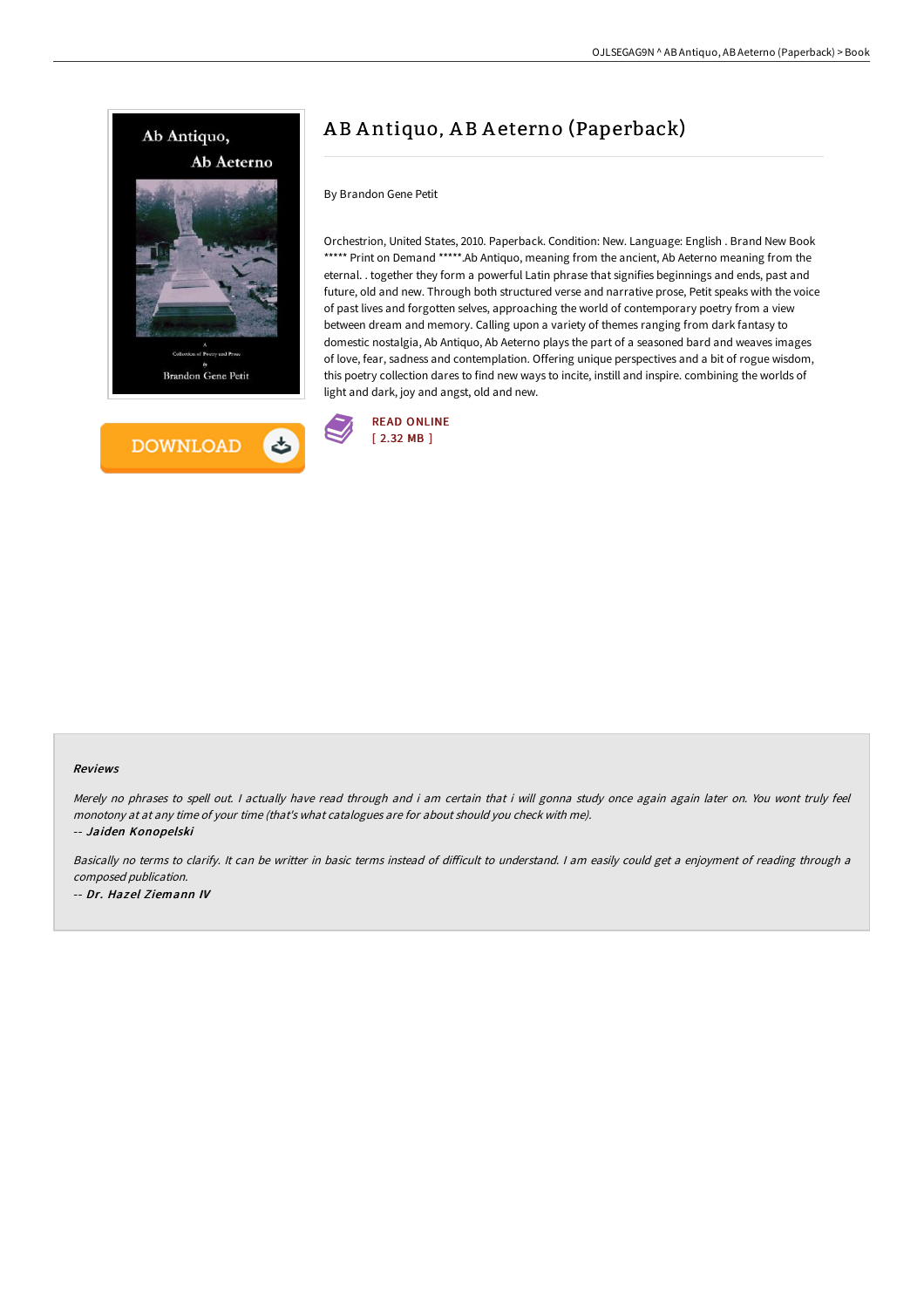



# A B A ntiquo, A B A eterno (Paperback)

### By Brandon Gene Petit

Orchestrion, United States, 2010. Paperback. Condition: New. Language: English . Brand New Book \*\*\*\*\* Print on Demand \*\*\*\*\*.Ab Antiquo, meaning from the ancient, Ab Aeterno meaning from the eternal. . together they form a powerful Latin phrase that signifies beginnings and ends, past and future, old and new. Through both structured verse and narrative prose, Petit speaks with the voice of past lives and forgotten selves, approaching the world of contemporary poetry from a view between dream and memory. Calling upon a variety of themes ranging from dark fantasy to domestic nostalgia, Ab Antiquo, Ab Aeterno plays the part of a seasoned bard and weaves images of love, fear, sadness and contemplation. Offering unique perspectives and a bit of rogue wisdom, this poetry collection dares to find new ways to incite, instill and inspire. combining the worlds of light and dark, joy and angst, old and new.



#### Reviews

Merely no phrases to spell out. <sup>I</sup> actually have read through and i am certain that i will gonna study once again again later on. You wont truly feel monotony at at any time of your time (that's what catalogues are for about should you check with me). -- Jaiden Konopelski

Basically no terms to clarify. It can be writter in basic terms instead of difficult to understand. I am easily could get a enjoyment of reading through a composed publication. -- Dr. Hazel Ziemann IV